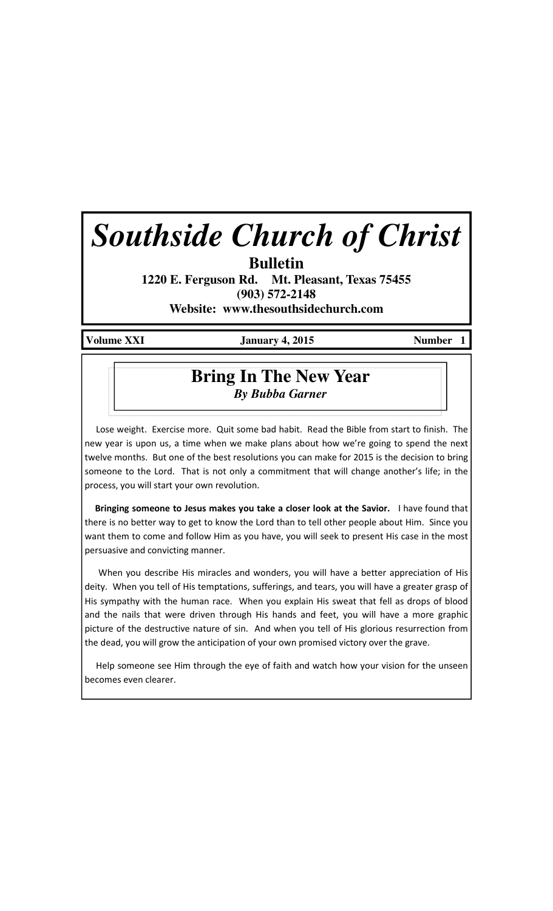# *Southside Church of Christ*

**Bulletin** 

**1220 E. Ferguson Rd. Mt. Pleasant, Texas 75455 (903) 572-2148 Website: www.thesouthsidechurch.com** 

Volume XXI **January 4, 2015** Number 1

## **Bring In The New Year** *By Bubba Garner*

 Lose weight. Exercise more. Quit some bad habit. Read the Bible from start to finish. The new year is upon us, a time when we make plans about how we're going to spend the next twelve months. But one of the best resolutions you can make for 2015 is the decision to bring someone to the Lord. That is not only a commitment that will change another's life; in the process, you will start your own revolution.

Bringing someone to Jesus makes you take a closer look at the Savior. I have found that there is no better way to get to know the Lord than to tell other people about Him. Since you want them to come and follow Him as you have, you will seek to present His case in the most persuasive and convicting manner.

 When you describe His miracles and wonders, you will have a better appreciation of His deity. When you tell of His temptations, sufferings, and tears, you will have a greater grasp of His sympathy with the human race. When you explain His sweat that fell as drops of blood and the nails that were driven through His hands and feet, you will have a more graphic picture of the destructive nature of sin. And when you tell of His glorious resurrection from the dead, you will grow the anticipation of your own promised victory over the grave.

 Help someone see Him through the eye of faith and watch how your vision for the unseen becomes even clearer.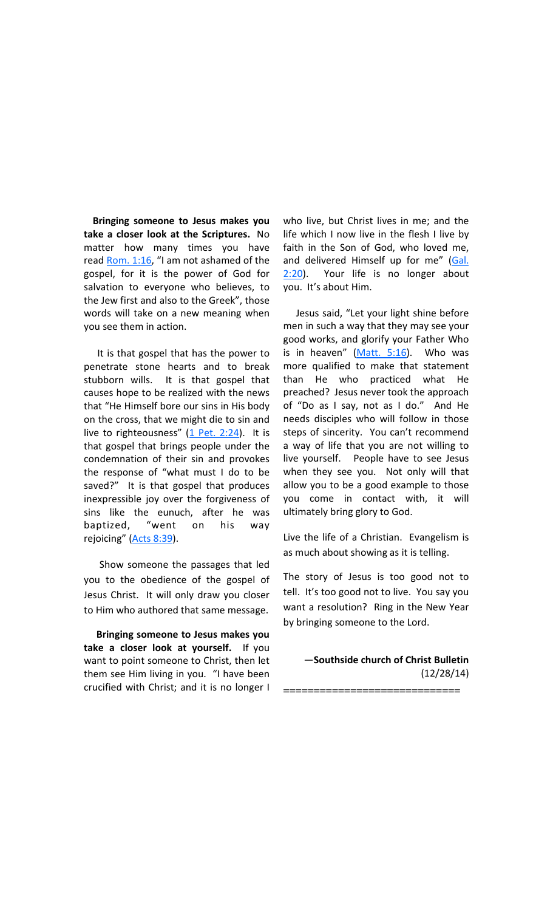Bringing someone to Jesus makes you take a closer look at the Scriptures. No matter how many times you have read Rom. 1:16, "I am not ashamed of the gospel, for it is the power of God for salvation to everyone who believes, to the Jew first and also to the Greek", those words will take on a new meaning when you see them in action.

 It is that gospel that has the power to penetrate stone hearts and to break stubborn wills. It is that gospel that causes hope to be realized with the news that "He Himself bore our sins in His body on the cross, that we might die to sin and live to righteousness"  $(1$  Pet. 2:24). It is that gospel that brings people under the condemnation of their sin and provokes the response of "what must I do to be saved?" It is that gospel that produces inexpressible joy over the forgiveness of sins like the eunuch, after he was baptized, "went on his way rejoicing" (Acts 8:39).

 Show someone the passages that led you to the obedience of the gospel of Jesus Christ. It will only draw you closer to Him who authored that same message.

 Bringing someone to Jesus makes you take a closer look at yourself. If you want to point someone to Christ, then let them see Him living in you. "I have been crucified with Christ; and it is no longer I

who live, but Christ lives in me; and the life which I now live in the flesh I live by faith in the Son of God, who loved me, and delivered Himself up for me" (Gal.  $2:20$ ). Your life is no longer about you. It's about Him.

 Jesus said, "Let your light shine before men in such a way that they may see your good works, and glorify your Father Who is in heaven"  $(Matt. 5:16)$ . Who was more qualified to make that statement than He who practiced what He preached? Jesus never took the approach of "Do as I say, not as I do." And He needs disciples who will follow in those steps of sincerity. You can't recommend a way of life that you are not willing to live yourself. People have to see Jesus when they see you. Not only will that allow you to be a good example to those you come in contact with, it will ultimately bring glory to God.

Live the life of a Christian. Evangelism is as much about showing as it is telling.

The story of Jesus is too good not to tell. It's too good not to live. You say you want a resolution? Ring in the New Year by bringing someone to the Lord.

—Southside church of Christ Bulletin (12/28/14)

=============================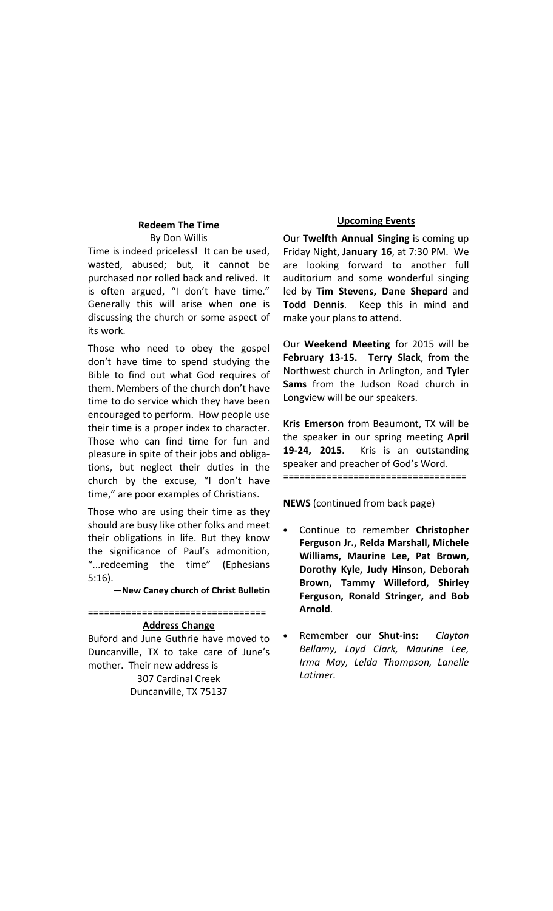### Redeem The Time By Don Willis

Time is indeed priceless! It can be used, wasted, abused; but, it cannot be purchased nor rolled back and relived. It is often argued, "I don't have time." Generally this will arise when one is discussing the church or some aspect of its work.

Those who need to obey the gospel don't have time to spend studying the Bible to find out what God requires of them. Members of the church don't have time to do service which they have been encouraged to perform. How people use their time is a proper index to character. Those who can find time for fun and pleasure in spite of their jobs and obligations, but neglect their duties in the church by the excuse, "I don't have time," are poor examples of Christians.

Those who are using their time as they should are busy like other folks and meet their obligations in life. But they know the significance of Paul's admonition, "...redeeming the time" (Ephesians 5:16).

—New Caney church of Christ Bulletin

=================================

#### Address Change

Buford and June Guthrie have moved to Duncanville, TX to take care of June's mother. Their new address is 307 Cardinal Creek Duncanville, TX 75137

#### Upcoming Events

Our Twelfth Annual Singing is coming up Friday Night, January 16, at 7:30 PM. We are looking forward to another full auditorium and some wonderful singing led by Tim Stevens, Dane Shepard and Todd Dennis. Keep this in mind and make your plans to attend.

Our Weekend Meeting for 2015 will be February 13-15. Terry Slack, from the Northwest church in Arlington, and Tyler Sams from the Judson Road church in Longview will be our speakers.

Kris Emerson from Beaumont, TX will be the speaker in our spring meeting April 19-24, 2015. Kris is an outstanding speaker and preacher of God's Word. ==================================

NEWS (continued from back page)

- Continue to remember Christopher Ferguson Jr., Relda Marshall, Michele Williams, Maurine Lee, Pat Brown, Dorothy Kyle, Judy Hinson, Deborah Brown, Tammy Willeford, Shirley Ferguson, Ronald Stringer, and Bob Arnold.
- Remember our Shut-ins: Clayton Bellamy, Loyd Clark, Maurine Lee, Irma May, Lelda Thompson, Lanelle Latimer.